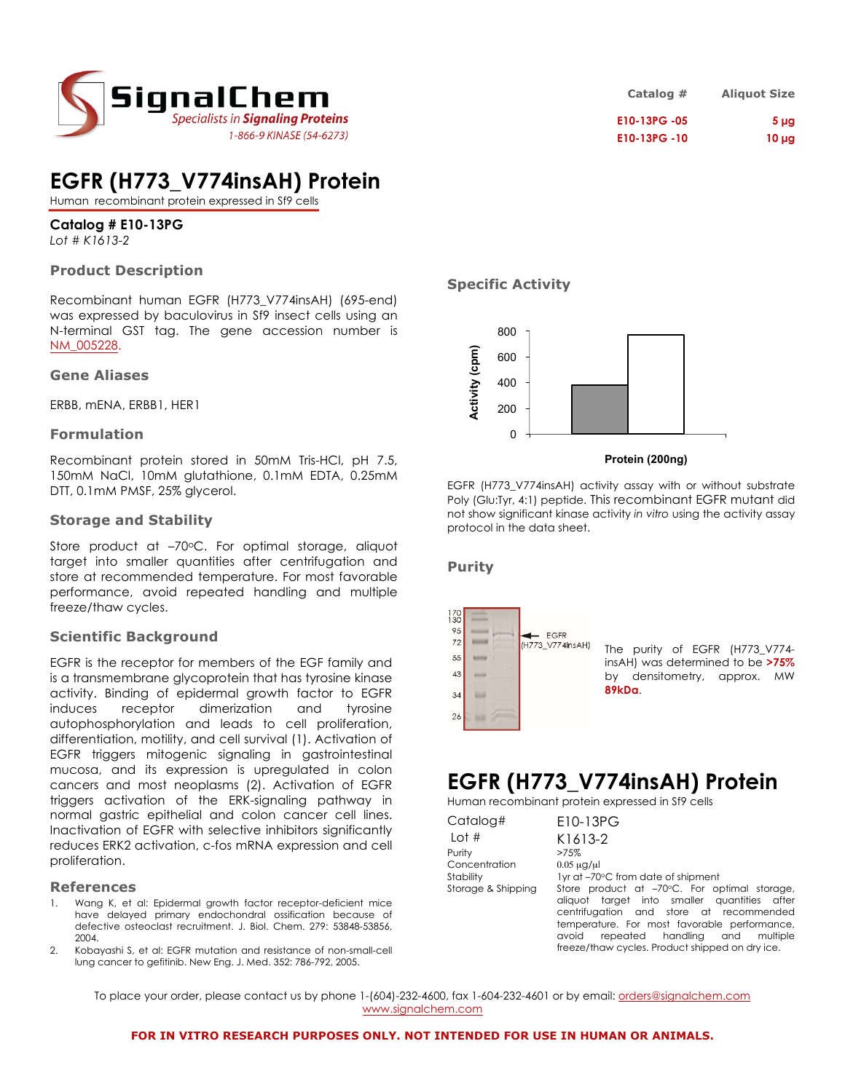

# **EGFR (H773\_V774insAH) Protein**

Human recombinant protein expressed in Sf9 cells

**Catalog # E10-13PG** *Lot # K1613-2*

## **Product Description**

Recombinant human EGFR (H773\_V774insAH) (695-end) was expressed by baculovirus in Sf9 insect cells using an N-terminal GST tag. The gene accession number is NM\_005228.

### **Gene Aliases**

ERBB, mENA, ERBB1, HER1

### **Formulation**

Recombinant protein stored in 50mM Tris-HCl, pH 7.5, 150mM NaCl, 10mM glutathione, 0.1mM EDTA, 0.25mM DTT, 0.1mM PMSF, 25% glycerol.

### **Storage and Stability**

Store product at -70°C. For optimal storage, aliquot target into smaller quantities after centrifugation and store at recommended temperature. For most favorable performance, avoid repeated handling and multiple freeze/thaw cycles.

### **Scientific Background**

EGFR is the receptor for members of the EGF family and is a transmembrane glycoprotein that has tyrosine kinase activity. Binding of epidermal growth factor to EGFR induces receptor dimerization and tyrosine autophosphorylation and leads to cell proliferation, differentiation, motility, and cell survival (1). Activation of EGFR triggers mitogenic signaling in gastrointestinal mucosa, and its expression is upregulated in colon cancers and most neoplasms (2). Activation of EGFR triggers activation of the ERK-signaling pathway in normal gastric epithelial and colon cancer cell lines. Inactivation of EGFR with selective inhibitors significantly reduces ERK2 activation, c-fos mRNA expression and cell proliferation.

### **References**

- Wang K, et al: Epidermal growth factor receptor-deficient mice have delayed primary endochondral ossification because of defective osteoclast recruitment. J. Biol. Chem. 279: 53848-53856, 2004.
- 2. Kobayashi S, et al: EGFR mutation and resistance of non-small-cell lung cancer to gefitinib. New Eng. J. Med. 352: 786-792, 2005.

| Catalog #   | <b>Aliquot Size</b> |
|-------------|---------------------|
| E10-13PG-05 | 5 <sub>µq</sub>     |
| E10-13PG-10 | $10 \mu$ g          |

### **Specific Activity**



#### **Protein (200ng)**

EGFR (H773\_V774insAH) activity assay with or without substrate Poly (Glu:Tyr, 4:1) peptide. This recombinant EGFR mutant did not show significant kinase activity *in vitro* using the activity assay protocol in the data sheet.

### **Purity**



The purity of EGFR (H773\_V774 insAH) was determined to be **>75%** by densitometry, approx. MW

## **EGFR (H773\_V774insAH) Protein**

Human recombinant protein expressed in Sf9 cells

| Catalog#           | E10-13PG                                                                                                                                |
|--------------------|-----------------------------------------------------------------------------------------------------------------------------------------|
| Lot $#$            | K1613-2                                                                                                                                 |
| Purity             | >75%                                                                                                                                    |
| Concentration      | $0.05 \mu$ g/ $\mu$                                                                                                                     |
| Stability          | 1yr at -70°C from date of shipment                                                                                                      |
| Storage & Shipping | Store product at -70°C. For optimal storage,<br>aliquot target into smaller quantities after<br>centrifugation and store at recommended |
|                    | temperature. For most favorable performance,                                                                                            |
|                    | repeated handling and<br>avoid<br>multiple                                                                                              |
|                    | freeze/thaw cycles. Product shipped on dry ice.                                                                                         |

To place your order, please contact us by phone 1-(604)-232-4600, fax 1-604-232-4601 or by email: orders@signalchem.com www.signalchem.com